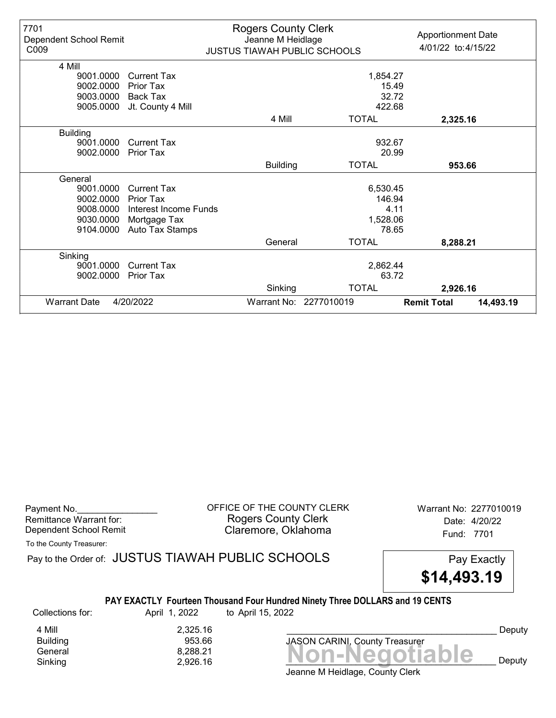| 7701<br>Dependent School Remit<br>C009 |                       | <b>Rogers County Clerk</b><br>Jeanne M Heidlage<br><b>JUSTUS TIAWAH PUBLIC SCHOOLS</b> |                        | <b>Apportionment Date</b><br>4/01/22 to: 4/15/22 |
|----------------------------------------|-----------------------|----------------------------------------------------------------------------------------|------------------------|--------------------------------------------------|
| 4 Mill                                 |                       |                                                                                        |                        |                                                  |
| 9001.0000                              | Current Tax           |                                                                                        | 1,854.27               |                                                  |
| 9002.0000                              | Prior Tax             |                                                                                        | 15.49                  |                                                  |
| 9003.0000                              | Back Tax              |                                                                                        | 32.72                  |                                                  |
| 9005.0000                              | Jt. County 4 Mill     |                                                                                        | 422.68                 |                                                  |
|                                        |                       | 4 Mill                                                                                 | <b>TOTAL</b>           | 2,325.16                                         |
| <b>Building</b>                        |                       |                                                                                        |                        |                                                  |
| 9001.0000                              | Current Tax           |                                                                                        | 932.67                 |                                                  |
| 9002.0000                              | <b>Prior Tax</b>      |                                                                                        | 20.99                  |                                                  |
|                                        |                       | <b>Building</b>                                                                        | <b>TOTAL</b>           | 953.66                                           |
| General                                |                       |                                                                                        |                        |                                                  |
| 9001.0000                              | <b>Current Tax</b>    |                                                                                        | 6,530.45               |                                                  |
| 9002.0000                              | Prior Tax             |                                                                                        | 146.94                 |                                                  |
| 9008.0000                              | Interest Income Funds |                                                                                        |                        | 4.11                                             |
| 9030.0000                              | Mortgage Tax          |                                                                                        | 1,528.06               |                                                  |
| 9104.0000                              | Auto Tax Stamps       |                                                                                        | 78.65                  |                                                  |
|                                        |                       | General                                                                                | <b>TOTAL</b>           | 8,288.21                                         |
| Sinking                                |                       |                                                                                        |                        |                                                  |
| 9001.0000                              | Current Tax           |                                                                                        | 2,862.44               |                                                  |
| 9002.0000                              | <b>Prior Tax</b>      |                                                                                        | 63.72                  |                                                  |
|                                        |                       | Sinking                                                                                | <b>TOTAL</b>           | 2,926.16                                         |
| <b>Warrant Date</b>                    | 4/20/2022             |                                                                                        | Warrant No: 2277010019 | <b>Remit Total</b><br>14,493.19                  |

Payment No. 2277010019 COFFICE OF THE COUNTY CLERK Warrant No: 2277010019 Rogers County Clerk Date: 4/20/22 Dependent School Remit **Claremore, Oklahoma** Fund: 7701

To the County Treasurer:

Pay to the Order of: JUSTUS TIAWAH PUBLIC SCHOOLS Pay Exactly

\$14,493.19

#### PAY EXACTLY Fourteen Thousand Four Hundred Ninety Three DOLLARS and 19 CENTS

Collections for: April 1, 2022 to April 15, 2022

**Building** 

4 Mill 2,325.16<br>Building 853.66

Banding<br>General 8,288.21 8,288.21 **Non-Negotiable** Sinking  $2,926.16$   $2,926.16$   $\blacksquare$   $\blacksquare$   $\blacksquare$   $\blacksquare$   $\blacksquare$   $\blacksquare$   $\blacksquare$   $\blacksquare$   $\blacksquare$   $\blacksquare$   $\blacksquare$   $\blacksquare$   $\blacksquare$   $\blacksquare$   $\blacksquare$   $\blacksquare$   $\blacksquare$   $\blacksquare$   $\blacksquare$   $\blacksquare$   $\blacksquare$   $\blacksquare$   $\blacksquare$   $\blacksquare$   $\blacksquare$   $\blacksquare$   $\blacksquare$   $\$ JASON CARINI, County Treasurer

Deputy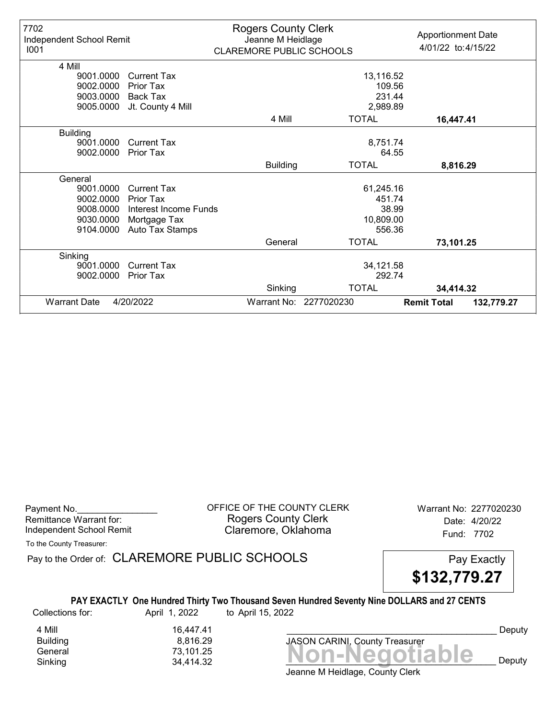| 7702<br>Independent School Remit<br>1001 |                       | <b>Rogers County Clerk</b><br>Jeanne M Heidlage<br><b>CLAREMORE PUBLIC SCHOOLS</b> |                        | <b>Apportionment Date</b><br>4/01/22 to: 4/15/22 |
|------------------------------------------|-----------------------|------------------------------------------------------------------------------------|------------------------|--------------------------------------------------|
| 4 Mill                                   |                       |                                                                                    |                        |                                                  |
| 9001.0000                                | <b>Current Tax</b>    |                                                                                    | 13,116.52              |                                                  |
| 9002.0000                                | Prior Tax             |                                                                                    | 109.56                 |                                                  |
| 9003.0000                                | Back Tax              |                                                                                    | 231.44                 |                                                  |
| 9005.0000                                | Jt. County 4 Mill     |                                                                                    | 2,989.89               |                                                  |
|                                          |                       | 4 Mill                                                                             | <b>TOTAL</b>           | 16,447.41                                        |
| <b>Building</b>                          |                       |                                                                                    |                        |                                                  |
| 9001.0000                                | <b>Current Tax</b>    |                                                                                    | 8,751.74               |                                                  |
| 9002.0000                                | <b>Prior Tax</b>      |                                                                                    | 64.55                  |                                                  |
|                                          |                       | <b>Building</b>                                                                    | <b>TOTAL</b>           | 8,816.29                                         |
| General                                  |                       |                                                                                    |                        |                                                  |
| 9001.0000                                | <b>Current Tax</b>    |                                                                                    | 61,245.16              |                                                  |
| 9002.0000                                | Prior Tax             |                                                                                    | 451.74                 |                                                  |
| 9008.0000                                | Interest Income Funds |                                                                                    | 38.99                  |                                                  |
| 9030.0000                                | Mortgage Tax          |                                                                                    | 10,809.00              |                                                  |
| 9104.0000                                | Auto Tax Stamps       |                                                                                    | 556.36                 |                                                  |
|                                          |                       | General                                                                            | <b>TOTAL</b>           | 73,101.25                                        |
| Sinking                                  |                       |                                                                                    |                        |                                                  |
| 9001.0000                                | <b>Current Tax</b>    |                                                                                    | 34,121.58              |                                                  |
| 9002.0000                                | <b>Prior Tax</b>      |                                                                                    | 292.74                 |                                                  |
|                                          |                       | Sinking                                                                            | <b>TOTAL</b>           | 34,414.32                                        |
| <b>Warrant Date</b>                      | 4/20/2022             |                                                                                    | Warrant No: 2277020230 | <b>Remit Total</b><br>132,779.27                 |

Payment No. 2277020230 CFFICE OF THE COUNTY CLERK Warrant No: 2277020230 Rogers County Clerk Date: 4/20/22 Independent School Remit **Claremore, Oklahoma** Fund: 7702

To the County Treasurer:

Pay to the Order of: CLAREMORE PUBLIC SCHOOLS Pay Exactly

\$132,779.27

## PAY EXACTLY One Hundred Thirty Two Thousand Seven Hundred Seventy Nine DOLLARS and 27 CENTS

Collections for: April 1, 2022 to April 15, 2022

Banding<br>General 73,101.25<br>Sinking 34,414.32 **Non-Negotiable** Sinking  $34,414.32$   $34,414.32$   $34.414.32$ 4 Mill 16,447.41

8,816.29

JASON CARINI, County Treasurer

Deputy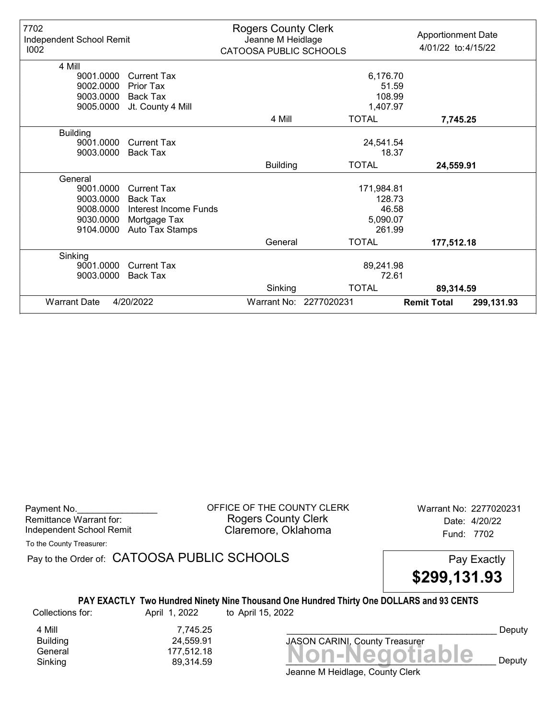| 7702<br>Independent School Remit<br>1002 |                       | <b>Rogers County Clerk</b><br>Jeanne M Heidlage<br>CATOOSA PUBLIC SCHOOLS |                        | <b>Apportionment Date</b><br>4/01/22 to: 4/15/22 |
|------------------------------------------|-----------------------|---------------------------------------------------------------------------|------------------------|--------------------------------------------------|
| 4 Mill                                   |                       |                                                                           |                        |                                                  |
| 9001.0000                                | <b>Current Tax</b>    |                                                                           | 6,176.70               |                                                  |
| 9002.0000                                | Prior Tax             |                                                                           | 51.59                  |                                                  |
| 9003.0000                                | <b>Back Tax</b>       |                                                                           | 108.99                 |                                                  |
| 9005.0000                                | Jt. County 4 Mill     |                                                                           | 1,407.97               |                                                  |
|                                          |                       | 4 Mill                                                                    | <b>TOTAL</b>           | 7,745.25                                         |
| <b>Building</b>                          |                       |                                                                           |                        |                                                  |
| 9001.0000                                | <b>Current Tax</b>    |                                                                           | 24,541.54              |                                                  |
| 9003.0000                                | Back Tax              |                                                                           | 18.37                  |                                                  |
|                                          |                       | <b>Building</b>                                                           | <b>TOTAL</b>           | 24,559.91                                        |
| General                                  |                       |                                                                           |                        |                                                  |
| 9001.0000                                | <b>Current Tax</b>    |                                                                           | 171,984.81             |                                                  |
| 9003.0000                                | Back Tax              |                                                                           | 128.73                 |                                                  |
| 9008.0000                                | Interest Income Funds |                                                                           | 46.58                  |                                                  |
| 9030.0000                                | Mortgage Tax          |                                                                           | 5,090.07               |                                                  |
| 9104.0000                                | Auto Tax Stamps       |                                                                           | 261.99                 |                                                  |
|                                          |                       | General                                                                   | <b>TOTAL</b>           | 177,512.18                                       |
| Sinking                                  |                       |                                                                           |                        |                                                  |
| 9001.0000                                | Current Tax           |                                                                           | 89,241.98              |                                                  |
| 9003.0000                                | <b>Back Tax</b>       |                                                                           | 72.61                  |                                                  |
|                                          |                       | Sinking                                                                   | <b>TOTAL</b>           | 89,314.59                                        |
| <b>Warrant Date</b>                      | 4/20/2022             |                                                                           | Warrant No: 2277020231 | <b>Remit Total</b><br>299,131.93                 |

Payment No. 2277020231 COFFICE OF THE COUNTY CLERK Warrant No: 2277020231 Rogers County Clerk Date: 4/20/22 Independent School Remit **Claremore, Oklahoma** Fund: 7702

To the County Treasurer:

Pay to the Order of: CATOOSA PUBLIC SCHOOLS Pay Exactly

\$299,131.93

### PAY EXACTLY Two Hundred Ninety Nine Thousand One Hundred Thirty One DOLLARS and 93 CENTS

Collections for: April 1, 2022 to April 15, 2022

4 Mill 7,745.25<br>Building 24,559.91

Building 24,559.91

Banding<br>General 177,512.18<br>Sinking 89,314.59 **Non-Negotiable** Sinking and  $89,314.59$  and  $89,314.59$  and  $89,314.59$  and  $89,314.59$  and  $89,314.59$  and  $89,314.59$  and  $89,314.59$  and  $89,314.59$  and  $89,314.59$  and  $89,314.59$  and  $89,314.59$  and  $89,314.59$  and  $89,314.59$  and JASON CARINI, County Treasurer

Deputy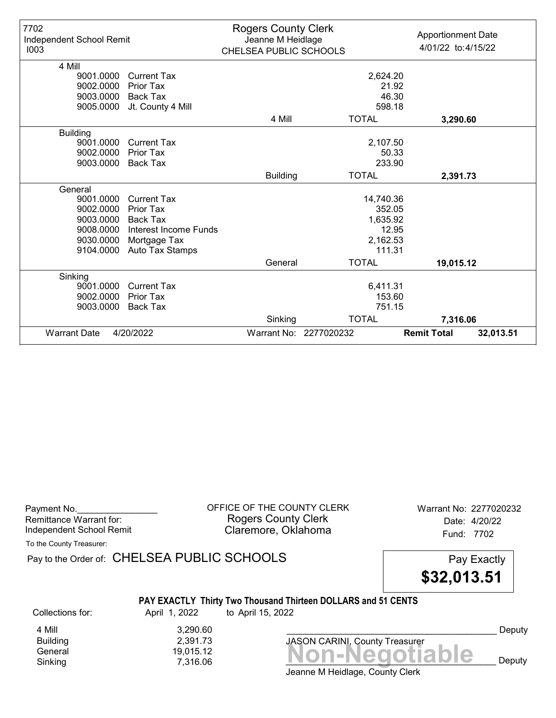| 7702<br>Independent School Remit<br>1003 |                       | <b>Rogers County Clerk</b><br>Jeanne M Heidlage<br>CHELSEA PUBLIC SCHOOLS |                        | <b>Apportionment Date</b><br>4/01/22 to: 4/15/22 |
|------------------------------------------|-----------------------|---------------------------------------------------------------------------|------------------------|--------------------------------------------------|
| 4 Mill                                   |                       |                                                                           |                        |                                                  |
| 9001.0000                                | <b>Current Tax</b>    |                                                                           | 2,624.20               |                                                  |
| 9002.0000                                | Prior Tax             |                                                                           |                        | 21.92                                            |
| 9003.0000                                | <b>Back Tax</b>       |                                                                           |                        | 46.30                                            |
| 9005.0000                                | Jt. County 4 Mill     |                                                                           | 598.18                 |                                                  |
|                                          |                       | 4 Mill                                                                    | <b>TOTAL</b>           | 3,290.60                                         |
| <b>Building</b>                          |                       |                                                                           |                        |                                                  |
| 9001.0000                                | <b>Current Tax</b>    |                                                                           | 2,107.50               |                                                  |
| 9002.0000                                | Prior Tax             |                                                                           |                        | 50.33                                            |
| 9003.0000                                | Back Tax              |                                                                           | 233.90                 |                                                  |
|                                          |                       | <b>Building</b>                                                           | <b>TOTAL</b>           | 2,391.73                                         |
| General                                  |                       |                                                                           |                        |                                                  |
| 9001.0000                                | <b>Current Tax</b>    |                                                                           | 14,740.36              |                                                  |
| 9002.0000                                | Prior Tax             |                                                                           | 352.05                 |                                                  |
| 9003.0000                                | Back Tax              |                                                                           | 1,635.92               |                                                  |
| 9008.0000                                | Interest Income Funds |                                                                           |                        | 12.95                                            |
| 9030.0000                                | Mortgage Tax          |                                                                           | 2,162.53               |                                                  |
| 9104.0000                                | Auto Tax Stamps       |                                                                           | 111.31                 |                                                  |
|                                          |                       | General                                                                   | <b>TOTAL</b>           | 19,015.12                                        |
| Sinking                                  |                       |                                                                           |                        |                                                  |
| 9001.0000                                | <b>Current Tax</b>    |                                                                           | 6,411.31               |                                                  |
| 9002.0000                                | <b>Prior Tax</b>      |                                                                           | 153.60                 |                                                  |
| 9003.0000                                | <b>Back Tax</b>       |                                                                           | 751.15                 |                                                  |
|                                          |                       | Sinking                                                                   | <b>TOTAL</b>           | 7,316.06                                         |
| <b>Warrant Date</b>                      | 4/20/2022             |                                                                           | Warrant No: 2277020232 | <b>Remit Total</b><br>32,013.51                  |

OFFICE OF THE COUNTY CLERK Warrant No: 2277020232 Rogers County Clerk Date: 4/20/22 Claremore, Oklahoma<br>
Fund: 7702

To the County Treasurer:

Pay to the Order of: CHELSEA PUBLIC SCHOOLS Pay Exactly

\$32,013.51

# PAY EXACTLY Thirty Two Thousand Thirteen DOLLARS and 51 CENTS

Collections for: April 1, 2022 to April 15, 2022

4 Mill 3,290.60<br>Building 2,391.73 Building 2,391.73

Jeanne M Heidlage, County Clerk Bananing<br>General 19,015.12 **Non-Negotiable** 19,015.12 Sinking  $7,316.06$   $\blacksquare$   $\blacksquare$   $\blacksquare$   $\blacksquare$   $\blacksquare$   $\blacksquare$   $\blacksquare$   $\blacksquare$   $\blacksquare$   $\blacksquare$   $\blacksquare$   $\blacksquare$   $\blacksquare$   $\blacksquare$   $\blacksquare$   $\blacksquare$   $\blacksquare$   $\blacksquare$   $\blacksquare$   $\blacksquare$   $\blacksquare$   $\blacksquare$   $\blacksquare$   $\blacksquare$   $\blacksquare$   $\blacksquare$   $\blacksquare$   $\blacksquare$   $\blacksquare$ 

JASON CARINI, County Treasurer

Deputy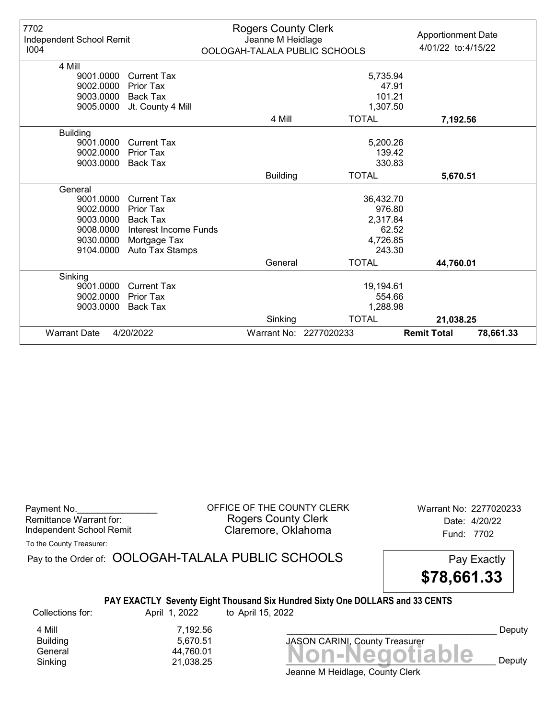| 7702<br>Independent School Remit<br>1004 |                       | <b>Rogers County Clerk</b><br>Jeanne M Heidlage<br>OOLOGAH-TALALA PUBLIC SCHOOLS |                        | <b>Apportionment Date</b><br>4/01/22 to: 4/15/22 |
|------------------------------------------|-----------------------|----------------------------------------------------------------------------------|------------------------|--------------------------------------------------|
| 4 Mill                                   |                       |                                                                                  |                        |                                                  |
| 9001.0000                                | <b>Current Tax</b>    |                                                                                  | 5,735.94               |                                                  |
| 9002.0000                                | Prior Tax             |                                                                                  | 47.91                  |                                                  |
| 9003.0000                                | Back Tax              |                                                                                  | 101.21                 |                                                  |
| 9005.0000                                | Jt. County 4 Mill     |                                                                                  | 1,307.50               |                                                  |
|                                          |                       | 4 Mill                                                                           | <b>TOTAL</b>           | 7,192.56                                         |
| <b>Building</b>                          |                       |                                                                                  |                        |                                                  |
| 9001.0000                                | Current Tax           |                                                                                  | 5,200.26               |                                                  |
| 9002.0000                                | <b>Prior Tax</b>      |                                                                                  | 139.42                 |                                                  |
| 9003.0000                                | Back Tax              |                                                                                  | 330.83                 |                                                  |
|                                          |                       | <b>Building</b>                                                                  | <b>TOTAL</b>           | 5,670.51                                         |
| General                                  |                       |                                                                                  |                        |                                                  |
| 9001.0000                                | <b>Current Tax</b>    |                                                                                  | 36,432.70              |                                                  |
| 9002.0000                                | Prior Tax             |                                                                                  | 976.80                 |                                                  |
| 9003.0000                                | Back Tax              |                                                                                  | 2,317.84               |                                                  |
| 9008.0000                                | Interest Income Funds |                                                                                  | 62.52                  |                                                  |
| 9030.0000                                | Mortgage Tax          |                                                                                  | 4,726.85               |                                                  |
| 9104.0000                                | Auto Tax Stamps       |                                                                                  | 243.30                 |                                                  |
|                                          |                       | General                                                                          | <b>TOTAL</b>           | 44,760.01                                        |
| Sinking                                  |                       |                                                                                  |                        |                                                  |
| 9001.0000                                | <b>Current Tax</b>    |                                                                                  | 19,194.61              |                                                  |
| 9002.0000                                | <b>Prior Tax</b>      |                                                                                  | 554.66                 |                                                  |
| 9003.0000                                | <b>Back Tax</b>       |                                                                                  | 1,288.98               |                                                  |
|                                          |                       | Sinking                                                                          | <b>TOTAL</b>           | 21,038.25                                        |
| <b>Warrant Date</b>                      | 4/20/2022             |                                                                                  | Warrant No: 2277020233 | <b>Remit Total</b><br>78,661.33                  |

| Payment No.              |  |
|--------------------------|--|
| Remittance Warrant for:  |  |
| Independent School Remit |  |

OFFICE OF THE COUNTY CLERK Warrant No: 2277020233 Rogers County Clerk Date: 4/20/22 Claremore, Oklahoma<br>
Fund: 7702

To the County Treasurer:

Pay to the Order of: OOLOGAH-TALALA PUBLIC SCHOOLS Pay Exactly \$78,661.33

## PAY EXACTLY Seventy Eight Thousand Six Hundred Sixty One DOLLARS and 33 CENTS

Collections for: April 1, 2022 to April 15, 2022

4 Mill 7,192.56<br>Building 5,670.51 5,670.51

Bananing<br>General 44,760.01 **Non-Negotiable** 44,760.01 Sinking 21,038.25  $\blacksquare$  21,038.25  $\blacksquare$ JASON CARINI, County Treasurer

Deputy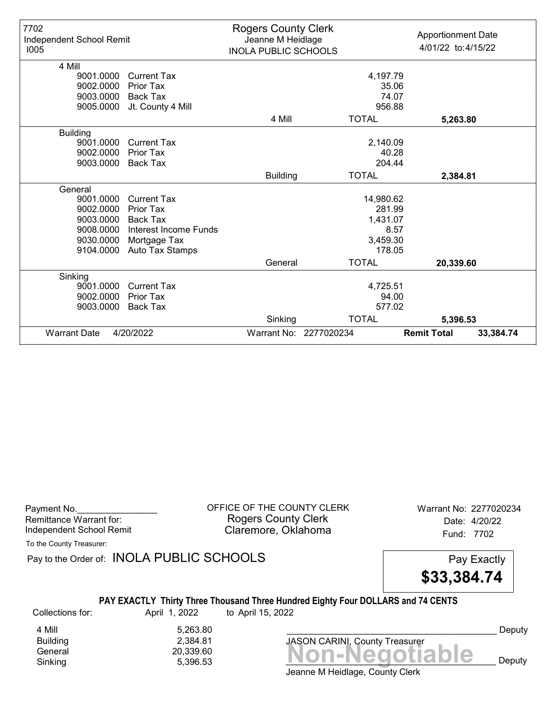| 7702<br>Independent School Remit<br>1005 |                       | <b>Rogers County Clerk</b><br>Jeanne M Heidlage<br><b>INOLA PUBLIC SCHOOLS</b> |                        | <b>Apportionment Date</b><br>4/01/22 to: 4/15/22 |
|------------------------------------------|-----------------------|--------------------------------------------------------------------------------|------------------------|--------------------------------------------------|
| 4 Mill                                   |                       |                                                                                |                        |                                                  |
| 9001.0000                                | <b>Current Tax</b>    |                                                                                | 4,197.79               |                                                  |
| 9002.0000                                | <b>Prior Tax</b>      |                                                                                | 35.06                  |                                                  |
| 9003.0000                                | Back Tax              |                                                                                | 74.07                  |                                                  |
| 9005.0000                                | Jt. County 4 Mill     |                                                                                | 956.88                 |                                                  |
|                                          |                       | 4 Mill                                                                         | <b>TOTAL</b>           | 5,263.80                                         |
| <b>Building</b>                          |                       |                                                                                |                        |                                                  |
| 9001.0000                                | Current Tax           |                                                                                | 2,140.09               |                                                  |
| 9002.0000                                | <b>Prior Tax</b>      |                                                                                | 40.28                  |                                                  |
| 9003.0000                                | Back Tax              |                                                                                | 204.44                 |                                                  |
|                                          |                       | <b>Building</b>                                                                | <b>TOTAL</b>           | 2,384.81                                         |
| General                                  |                       |                                                                                |                        |                                                  |
| 9001.0000                                | <b>Current Tax</b>    |                                                                                | 14,980.62              |                                                  |
| 9002.0000                                | Prior Tax             |                                                                                | 281.99                 |                                                  |
| 9003.0000                                | Back Tax              |                                                                                | 1,431.07               |                                                  |
| 9008.0000                                | Interest Income Funds |                                                                                |                        | 8.57                                             |
| 9030.0000                                | Mortgage Tax          |                                                                                | 3,459.30               |                                                  |
| 9104.0000                                | Auto Tax Stamps       |                                                                                | 178.05                 |                                                  |
|                                          |                       | General                                                                        | <b>TOTAL</b>           | 20,339.60                                        |
| Sinking                                  |                       |                                                                                |                        |                                                  |
| 9001.0000                                | <b>Current Tax</b>    |                                                                                | 4,725.51               |                                                  |
| 9002.0000                                | <b>Prior Tax</b>      |                                                                                | 94.00                  |                                                  |
| 9003.0000                                | Back Tax              |                                                                                | 577.02                 |                                                  |
|                                          |                       | Sinking                                                                        | <b>TOTAL</b>           | 5,396.53                                         |
| <b>Warrant Date</b>                      | 4/20/2022             |                                                                                | Warrant No: 2277020234 | <b>Remit Total</b><br>33,384.74                  |

| Payment No.              |  |
|--------------------------|--|
| Remittance Warrant for:  |  |
| Independent School Remit |  |

OFFICE OF THE COUNTY CLERK Warrant No: 2277020234 Rogers County Clerk Date: 4/20/22 Claremore, Oklahoma<br>
Fund: 7702

To the County Treasurer:

Pay to the Order of: INOLA PUBLIC SCHOOLS Pay Exactly

\$33,384.74

## PAY EXACTLY Thirty Three Thousand Three Hundred Eighty Four DOLLARS and 74 CENTS

Collections for: April 1, 2022 to April 15, 2022

4 Mill 5,263.80<br>Building 2,384.81 Building 2,384.81

Banding<br>General 20,339.60<br>Sinking 5,396.53 **Non-Negotiable** Sinking  $5,396.53$   $\blacksquare$   $\blacksquare$   $\blacksquare$   $\blacksquare$   $\blacksquare$   $\blacksquare$   $\blacksquare$   $\blacksquare$   $\blacksquare$   $\blacksquare$   $\blacksquare$   $\blacksquare$   $\blacksquare$   $\blacksquare$   $\blacksquare$   $\blacksquare$   $\blacksquare$   $\blacksquare$   $\blacksquare$   $\blacksquare$   $\blacksquare$   $\blacksquare$   $\blacksquare$   $\blacksquare$   $\blacksquare$   $\blacksquare$   $\blacksquare$   $\blacksquare$   $\blacksquare$ JASON CARINI, County Treasurer

Deputy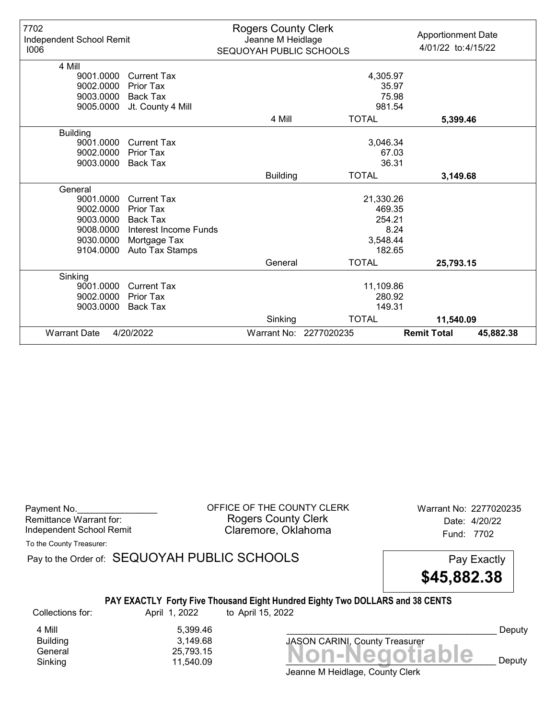| 7702<br>Independent School Remit<br>1006 |                       | <b>Rogers County Clerk</b><br>Jeanne M Heidlage<br>SEQUOYAH PUBLIC SCHOOLS |                        | <b>Apportionment Date</b><br>4/01/22 to: 4/15/22 |
|------------------------------------------|-----------------------|----------------------------------------------------------------------------|------------------------|--------------------------------------------------|
| 4 Mill                                   |                       |                                                                            |                        |                                                  |
| 9001.0000                                | <b>Current Tax</b>    |                                                                            | 4,305.97               |                                                  |
| 9002.0000                                | Prior Tax             |                                                                            | 35.97                  |                                                  |
| 9003.0000                                | Back Tax              |                                                                            | 75.98                  |                                                  |
| 9005.0000                                | Jt. County 4 Mill     |                                                                            | 981.54                 |                                                  |
|                                          |                       | 4 Mill                                                                     | <b>TOTAL</b>           | 5,399.46                                         |
| <b>Building</b>                          |                       |                                                                            |                        |                                                  |
| 9001.0000                                | Current Tax           |                                                                            | 3,046.34               |                                                  |
| 9002.0000                                | <b>Prior Tax</b>      |                                                                            | 67.03                  |                                                  |
| 9003.0000                                | Back Tax              |                                                                            | 36.31                  |                                                  |
|                                          |                       | <b>Building</b>                                                            | <b>TOTAL</b>           | 3,149.68                                         |
| General                                  |                       |                                                                            |                        |                                                  |
| 9001.0000                                | <b>Current Tax</b>    |                                                                            | 21,330.26              |                                                  |
| 9002.0000                                | Prior Tax             |                                                                            | 469.35                 |                                                  |
| 9003.0000                                | Back Tax              |                                                                            | 254.21                 |                                                  |
| 9008.0000                                | Interest Income Funds |                                                                            | 8.24                   |                                                  |
| 9030.0000                                | Mortgage Tax          |                                                                            | 3,548.44               |                                                  |
| 9104.0000                                | Auto Tax Stamps       |                                                                            | 182.65                 |                                                  |
|                                          |                       | General                                                                    | <b>TOTAL</b>           | 25,793.15                                        |
| Sinking                                  |                       |                                                                            |                        |                                                  |
| 9001.0000                                | <b>Current Tax</b>    |                                                                            | 11,109.86              |                                                  |
| 9002.0000                                | Prior Tax             |                                                                            | 280.92                 |                                                  |
| 9003.0000                                | Back Tax              |                                                                            | 149.31                 |                                                  |
|                                          |                       | Sinking                                                                    | <b>TOTAL</b>           | 11,540.09                                        |
| <b>Warrant Date</b>                      | 4/20/2022             |                                                                            | Warrant No: 2277020235 | <b>Remit Total</b><br>45,882.38                  |

| Payment No.              |  |
|--------------------------|--|
| Remittance Warrant for:  |  |
| Independent School Remit |  |

OFFICE OF THE COUNTY CLERK Warrant No: 2277020235 Rogers County Clerk Date: 4/20/22 Claremore, Oklahoma<br>
Fund: 7702

To the County Treasurer:

Pay to the Order of: SEQUOYAH PUBLIC SCHOOLS Pay Exactly



# PAY EXACTLY Forty Five Thousand Eight Hundred Eighty Two DOLLARS and 38 CENTS

Collections for: April 1, 2022 to April 15, 2022

4 Mill 5,399.46<br>Building 3,149.68 Building 3,149.68

Banding<br>General 25,793.15<br>Sinking 11,540.09 **Non-Negotiable** Sinking 11,540.09  $\blacksquare$   $\blacksquare$   $\blacksquare$   $\blacksquare$   $\blacksquare$   $\blacksquare$   $\blacksquare$   $\blacksquare$   $\blacksquare$   $\blacksquare$   $\blacksquare$   $\blacksquare$   $\blacksquare$   $\blacksquare$   $\blacksquare$   $\blacksquare$   $\blacksquare$   $\blacksquare$   $\blacksquare$   $\blacksquare$   $\blacksquare$   $\blacksquare$   $\blacksquare$   $\blacksquare$   $\blacksquare$   $\blacksquare$   $\blacksquare$   $\blacksquare$   $\blacksquare$ 

Deputy

Jeanne M Heidlage, County Clerk

JASON CARINI, County Treasurer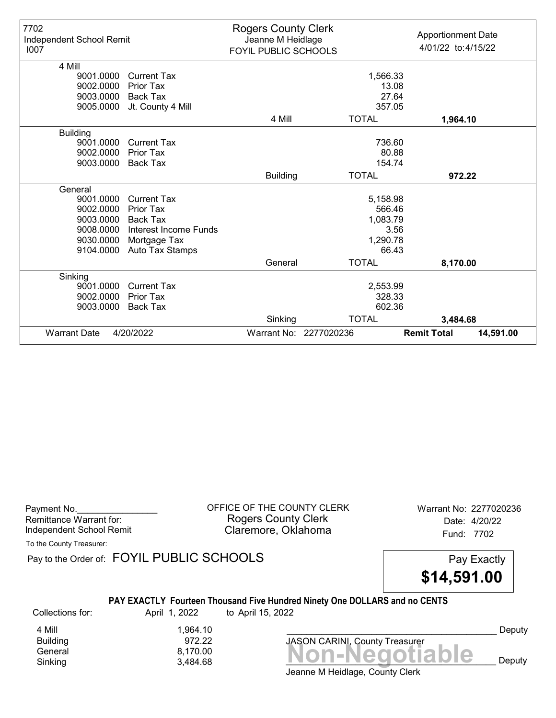| 7702<br>Independent School Remit<br>1007 |                       | <b>Rogers County Clerk</b><br>Jeanne M Heidlage<br>FOYIL PUBLIC SCHOOLS |                        | <b>Apportionment Date</b><br>4/01/22 to: 4/15/22 |
|------------------------------------------|-----------------------|-------------------------------------------------------------------------|------------------------|--------------------------------------------------|
| 4 Mill                                   |                       |                                                                         |                        |                                                  |
| 9001.0000                                | <b>Current Tax</b>    |                                                                         | 1,566.33               |                                                  |
| 9002.0000                                | <b>Prior Tax</b>      |                                                                         | 13.08                  |                                                  |
| 9003.0000                                | <b>Back Tax</b>       |                                                                         | 27.64                  |                                                  |
| 9005.0000                                | Jt. County 4 Mill     |                                                                         | 357.05                 |                                                  |
|                                          |                       | 4 Mill                                                                  | <b>TOTAL</b>           | 1,964.10                                         |
| <b>Building</b>                          |                       |                                                                         |                        |                                                  |
| 9001.0000                                | <b>Current Tax</b>    |                                                                         | 736.60                 |                                                  |
| 9002.0000                                | <b>Prior Tax</b>      |                                                                         | 80.88                  |                                                  |
| 9003.0000                                | Back Tax              |                                                                         | 154.74                 |                                                  |
|                                          |                       | <b>Building</b>                                                         | <b>TOTAL</b>           | 972.22                                           |
| General                                  |                       |                                                                         |                        |                                                  |
| 9001.0000                                | <b>Current Tax</b>    |                                                                         | 5,158.98               |                                                  |
| 9002.0000                                | Prior Tax             |                                                                         | 566.46                 |                                                  |
| 9003.0000                                | <b>Back Tax</b>       |                                                                         | 1,083.79               |                                                  |
| 9008.0000                                | Interest Income Funds |                                                                         |                        | 3.56                                             |
| 9030.0000                                | Mortgage Tax          |                                                                         | 1,290.78               |                                                  |
| 9104.0000                                | Auto Tax Stamps       |                                                                         | 66.43                  |                                                  |
|                                          |                       | General                                                                 | <b>TOTAL</b>           | 8,170.00                                         |
| Sinking                                  |                       |                                                                         |                        |                                                  |
| 9001.0000                                | <b>Current Tax</b>    |                                                                         | 2,553.99               |                                                  |
| 9002.0000                                | Prior Tax             |                                                                         | 328.33                 |                                                  |
| 9003.0000                                | Back Tax              |                                                                         | 602.36                 |                                                  |
|                                          |                       | Sinking                                                                 | <b>TOTAL</b>           | 3,484.68                                         |
| <b>Warrant Date</b>                      | 4/20/2022             |                                                                         | Warrant No: 2277020236 | <b>Remit Total</b><br>14,591.00                  |

| Payment No.              |  |
|--------------------------|--|
| Remittance Warrant for:  |  |
| Independent School Remit |  |

OFFICE OF THE COUNTY CLERK Warrant No: 2277020236 Rogers County Clerk Date: 4/20/22 Claremore, Oklahoma<br>
Fund: 7702

To the County Treasurer:

Pay to the Order of: FOYIL PUBLIC SCHOOLS Pay Exactly



#### PAY EXACTLY Fourteen Thousand Five Hundred Ninety One DOLLARS and no CENTS

Collections for: April 1, 2022 to April 15, 2022

4 Mill 1,964.10<br>Building 972.22 Building 972.22<br>General 9,170.00

Bananing<br>General 8,170.00<br>Sinking 3,484.68 **Non-Negotiable** Sinking 3,484.68 \_\_\_\_\_\_\_\_\_\_\_\_\_\_\_\_\_\_\_\_\_\_\_\_\_\_\_\_\_\_\_\_\_\_\_\_\_\_\_\_\_\_ Deputy

Deputy

Jeanne M Heidlage, County Clerk

JASON CARINI, County Treasurer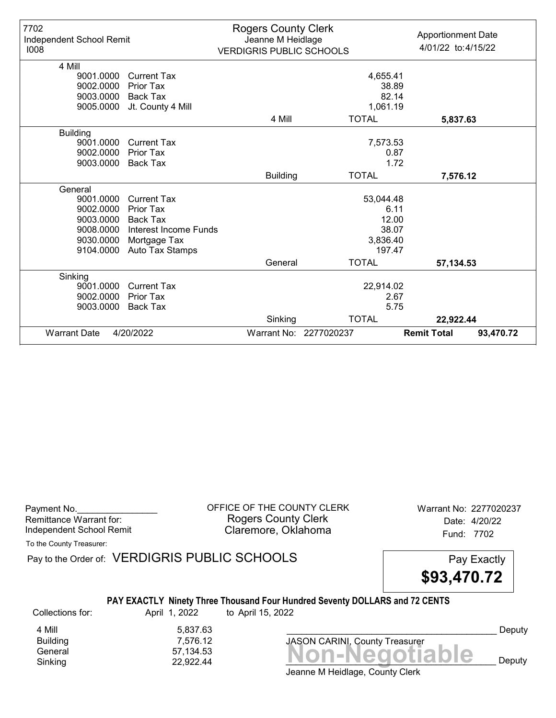| 7702<br>Independent School Remit<br>1008 |                       | <b>Rogers County Clerk</b><br>Jeanne M Heidlage<br><b>VERDIGRIS PUBLIC SCHOOLS</b> |                        | <b>Apportionment Date</b><br>4/01/22 to:4/15/22 |
|------------------------------------------|-----------------------|------------------------------------------------------------------------------------|------------------------|-------------------------------------------------|
| 4 Mill                                   |                       |                                                                                    |                        |                                                 |
| 9001.0000                                | <b>Current Tax</b>    |                                                                                    | 4,655.41               |                                                 |
| 9002.0000                                | Prior Tax             |                                                                                    | 38.89                  |                                                 |
| 9003.0000                                | <b>Back Tax</b>       |                                                                                    | 82.14                  |                                                 |
| 9005.0000                                | Jt. County 4 Mill     |                                                                                    | 1,061.19               |                                                 |
|                                          |                       | 4 Mill                                                                             | <b>TOTAL</b>           | 5,837.63                                        |
| <b>Building</b>                          |                       |                                                                                    |                        |                                                 |
| 9001.0000                                | <b>Current Tax</b>    | 7,573.53                                                                           |                        |                                                 |
| 9002.0000                                | Prior Tax             |                                                                                    |                        | 0.87                                            |
| 9003.0000                                | <b>Back Tax</b>       | 1.72                                                                               |                        |                                                 |
|                                          |                       | <b>Building</b>                                                                    | <b>TOTAL</b>           | 7,576.12                                        |
| General                                  |                       |                                                                                    |                        |                                                 |
| 9001.0000                                | <b>Current Tax</b>    |                                                                                    | 53,044.48              |                                                 |
| 9002.0000                                | Prior Tax             |                                                                                    | 6.11                   |                                                 |
| 9003.0000                                | Back Tax              |                                                                                    | 12.00                  |                                                 |
| 9008.0000                                | Interest Income Funds |                                                                                    | 38.07                  |                                                 |
| 9030.0000                                | Mortgage Tax          |                                                                                    | 3,836.40               |                                                 |
| 9104.0000                                | Auto Tax Stamps       |                                                                                    | 197.47                 |                                                 |
|                                          |                       | General                                                                            | <b>TOTAL</b>           | 57,134.53                                       |
| Sinking                                  |                       |                                                                                    |                        |                                                 |
| 9001.0000                                | <b>Current Tax</b>    | 22,914.02                                                                          |                        |                                                 |
| 9002.0000                                | Prior Tax             |                                                                                    |                        | 2.67                                            |
| 9003.0000                                | Back Tax              |                                                                                    |                        | 5.75                                            |
|                                          |                       | Sinking                                                                            | <b>TOTAL</b>           | 22,922.44                                       |
| <b>Warrant Date</b>                      | 4/20/2022             |                                                                                    | Warrant No: 2277020237 | <b>Remit Total</b><br>93,470.72                 |

Payment No. 2277020237<br>
OFFICE OF THE COUNTY CLERK Warrant No: 2277020237 Rogers County Clerk Date: 4/20/22 Independent School Remit **Claremore, Oklahoma** Fund: 7702

To the County Treasurer:

Pay to the Order of: VERDIGRIS PUBLIC SCHOOLS Pay Exactly

\$93,470.72

#### PAY EXACTLY Ninety Three Thousand Four Hundred Seventy DOLLARS and 72 CENTS

Collections for: April 1, 2022 to April 15, 2022

4 Mill<br>Building 6,837.63<br>7,576.12 Building 7,576.12

Jeanne M Heidlage, County Clerk Banding<br>General 57,134.53<br>Sinking 22,922.44 **Non-Negotiable** Sinking 22,922.44  $\blacksquare$ 

JASON CARINI, County Treasurer

Deputy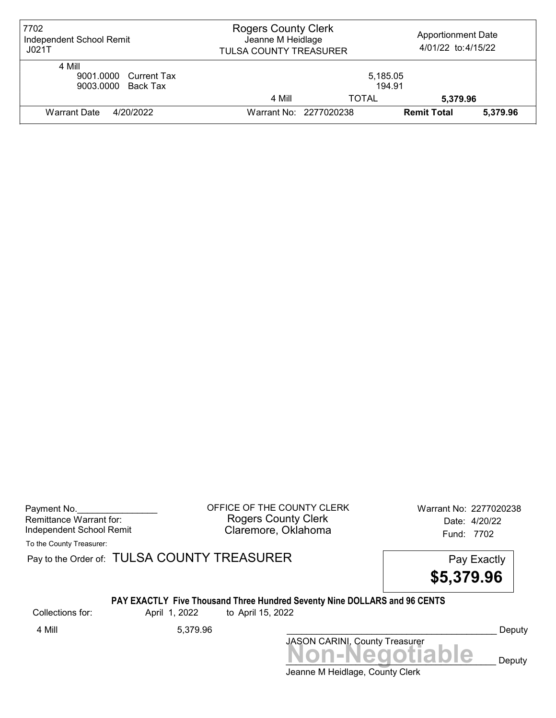| 7702<br>Independent School Remit<br>J021T             | <b>Rogers County Clerk</b><br>Jeanne M Heidlage<br>TULSA COUNTY TREASURER |                    | <b>Apportionment Date</b><br>4/01/22 to:4/15/22 |          |
|-------------------------------------------------------|---------------------------------------------------------------------------|--------------------|-------------------------------------------------|----------|
| 4 Mill<br>9001.0000 Current Tax<br>9003.0000 Back Tax |                                                                           | 5,185.05<br>194.91 |                                                 |          |
|                                                       | 4 Mill                                                                    | TOTAL              | 5,379.96                                        |          |
| <b>Warrant Date</b><br>4/20/2022                      | Warrant No: 2277020238                                                    |                    | <b>Remit Total</b>                              | 5,379.96 |

Payment No. 2277020238 COFFICE OF THE COUNTY CLERK Warrant No: 2277020238 Rogers County Clerk Date: 4/20/22 Independent School Remit **Claremore, Oklahoma** Fund: 7702

To the County Treasurer:

Pay to the Order of: TULSA COUNTY TREASURER Pay to the Order of: TULSA COUNTY TREASURER

\$5,379.96

#### PAY EXACTLY Five Thousand Three Hundred Seventy Nine DOLLARS and 96 CENTS

Collections for: April 1, 2022 to April 15, 2022

Jeanne M Heidlage, County Clerk Non-Negotiable Deputy JASON CARINI, County Treasurer 4 Mill 5,379.96 \_\_\_\_\_\_\_\_\_\_\_\_\_\_\_\_\_\_\_\_\_\_\_\_\_\_\_\_\_\_\_\_\_\_\_\_\_\_\_\_\_\_ Deputy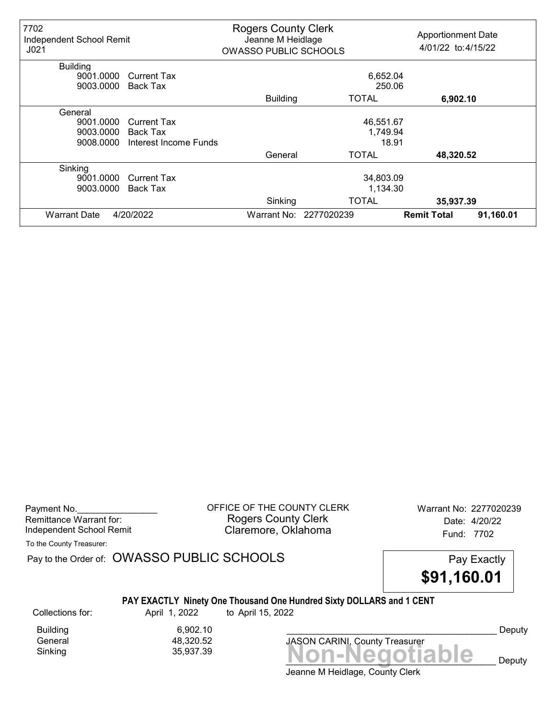| 7702<br>Independent School Remit<br>J <sub>021</sub> |                       | <b>Rogers County Clerk</b><br>Jeanne M Heidlage<br><b>OWASSO PUBLIC SCHOOLS</b> |                        | <b>Apportionment Date</b><br>4/01/22 to: 4/15/22 |           |
|------------------------------------------------------|-----------------------|---------------------------------------------------------------------------------|------------------------|--------------------------------------------------|-----------|
| <b>Building</b>                                      |                       |                                                                                 |                        |                                                  |           |
| 9001.0000                                            | <b>Current Tax</b>    |                                                                                 | 6,652.04               |                                                  |           |
| 9003.0000                                            | Back Tax              |                                                                                 | 250.06                 |                                                  |           |
|                                                      |                       | <b>Building</b>                                                                 | <b>TOTAL</b>           | 6,902.10                                         |           |
| General                                              |                       |                                                                                 |                        |                                                  |           |
| 9001.0000                                            | <b>Current Tax</b>    |                                                                                 | 46,551.67              |                                                  |           |
| 9003.0000                                            | Back Tax              |                                                                                 | 1,749.94               |                                                  |           |
| 9008.0000                                            | Interest Income Funds |                                                                                 | 18.91                  |                                                  |           |
|                                                      |                       | General                                                                         | <b>TOTAL</b>           | 48,320.52                                        |           |
| Sinking                                              |                       |                                                                                 |                        |                                                  |           |
| 9001.0000                                            | Current Tax           |                                                                                 | 34,803.09              |                                                  |           |
| 9003.0000                                            | Back Tax              |                                                                                 | 1,134.30               |                                                  |           |
|                                                      |                       | Sinking                                                                         | <b>TOTAL</b>           | 35,937.39                                        |           |
| <b>Warrant Date</b>                                  | 4/20/2022             |                                                                                 | Warrant No: 2277020239 | <b>Remit Total</b>                               | 91,160.01 |

Payment No. 2277020239 COFFICE OF THE COUNTY CLERK Warrant No: 2277020239 Rogers County Clerk Date: 4/20/22 Independent School Remit Claremore, Oklahoma Fund: 7702

To the County Treasurer:

Pay to the Order of: OWASSO PUBLIC SCHOOLS Pay Exactly

\$91,160.01

# PAY EXACTLY Ninety One Thousand One Hundred Sixty DOLLARS and 1 CENT

Building 6,902.10<br>General 18,320.52 General 48,320.52

Collections for: April 1, 2022 to April 15, 2022

Sinking Non-Negotiable 35,937.39 JASON CARINI, County Treasurer

Deputy

Deputy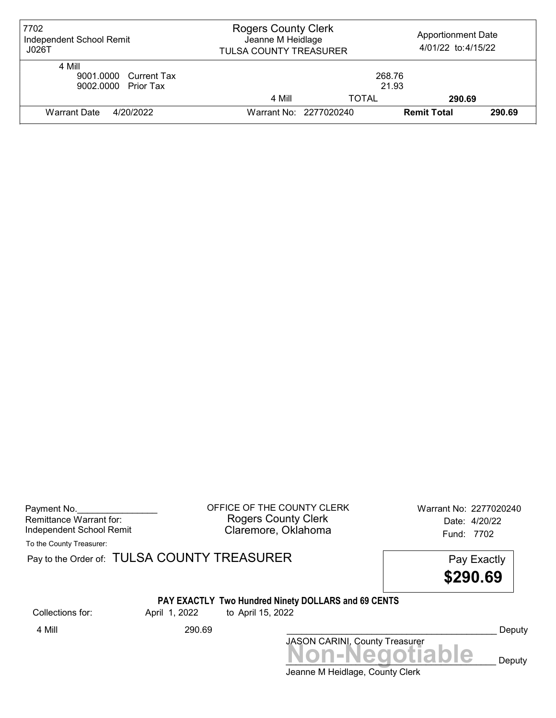| 7702<br>Independent School Remit<br>J026T              | <b>Rogers County Clerk</b><br>Jeanne M Heidlage<br>TULSA COUNTY TREASURER |                 | <b>Apportionment Date</b><br>4/01/22 to:4/15/22 |        |
|--------------------------------------------------------|---------------------------------------------------------------------------|-----------------|-------------------------------------------------|--------|
| 4 Mill<br>9001.0000 Current Tax<br>9002.0000 Prior Tax |                                                                           | 268.76<br>21.93 |                                                 |        |
|                                                        | 4 Mill                                                                    | TOTAL           | 290.69                                          |        |
| <b>Warrant Date</b><br>4/20/2022                       | Warrant No: 2277020240                                                    |                 | <b>Remit Total</b>                              | 290.69 |

Payment No. 2277020240 CHEICE OF THE COUNTY CLERK Warrant No: 2277020240 Rogers County Clerk Date: 4/20/22 Independent School Remit **Claremore, Oklahoma** Fund: 7702

To the County Treasurer:

Pay to the Order of: TULSA COUNTY TREASURER Pay to the Order of: TULSA COUNTY TREASURER

\$290.69

# PAY EXACTLY Two Hundred Ninety DOLLARS and 69 CENTS<br>April 1, 2022 to April 15, 2022

Collections for: April 1, 2022 to April 15, 2022

Jeanne M Heidlage, County Clerk Non-Negotiable Deputy JASON CARINI, County Treasurer 4 Mill 290.69 Deputy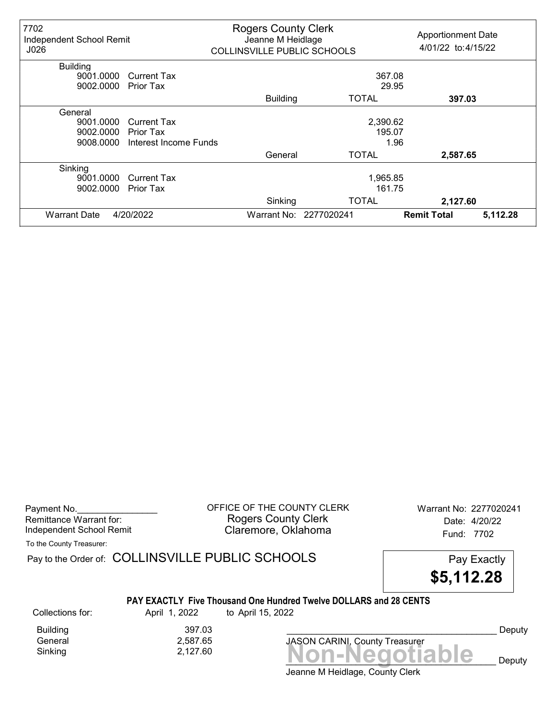| 7702<br>Independent School Remit<br>J026 |                       | <b>Rogers County Clerk</b><br>Jeanne M Heidlage<br><b>COLLINSVILLE PUBLIC SCHOOLS</b> |                        | <b>Apportionment Date</b><br>4/01/22 to: 4/15/22 |          |
|------------------------------------------|-----------------------|---------------------------------------------------------------------------------------|------------------------|--------------------------------------------------|----------|
| <b>Building</b>                          |                       |                                                                                       |                        |                                                  |          |
| 9001.0000                                | <b>Current Tax</b>    |                                                                                       | 367.08                 |                                                  |          |
| 9002.0000                                | Prior Tax             |                                                                                       | 29.95                  |                                                  |          |
|                                          |                       | <b>Building</b>                                                                       | TOTAL                  | 397.03                                           |          |
| General                                  |                       |                                                                                       |                        |                                                  |          |
| 9001.0000                                | <b>Current Tax</b>    |                                                                                       | 2,390.62               |                                                  |          |
| 9002.0000                                | Prior Tax             |                                                                                       | 195.07                 |                                                  |          |
| 9008.0000                                | Interest Income Funds |                                                                                       |                        | 1.96                                             |          |
|                                          |                       | General                                                                               | TOTAL                  | 2,587.65                                         |          |
| Sinking                                  |                       |                                                                                       |                        |                                                  |          |
| 9001.0000                                | <b>Current Tax</b>    |                                                                                       | 1,965.85               |                                                  |          |
| 9002.0000                                | Prior Tax             |                                                                                       | 161.75                 |                                                  |          |
|                                          |                       | Sinking                                                                               | <b>TOTAL</b>           | 2,127.60                                         |          |
| <b>Warrant Date</b>                      | 4/20/2022             |                                                                                       | Warrant No: 2277020241 | <b>Remit Total</b>                               | 5,112.28 |

Payment No. 2277020241 COUNTY CLERK Warrant No: 2277020241 Rogers County Clerk Date: 4/20/22 Independent School Remit **Claremore, Oklahoma** Fund: 7702

To the County Treasurer:

Pay to the Order of: COLLINSVILLE PUBLIC SCHOOLS Pay Exactly



#### PAY EXACTLY Five Thousand One Hundred Twelve DOLLARS and 28 CENTS

Building 397.03<br>General 2,587.65 General 2,587.65

Collections for: April 1, 2022 to April 15, 2022

Sinking 2,127.60 **Non-Negotiable** 

JASON CARINI, County Treasurer

Deputy

Deputy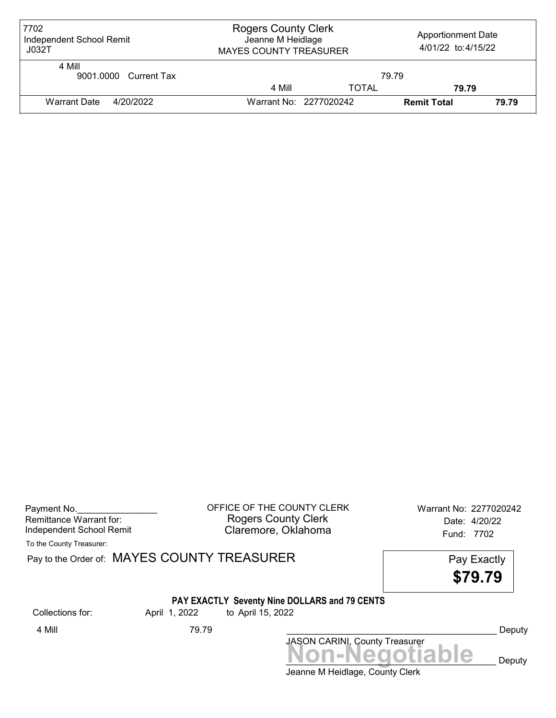| 7702<br>Independent School Remit<br>J032T | <b>Rogers County Clerk</b><br>Jeanne M Heidlage<br><b>MAYES COUNTY TREASURER</b> |              | <b>Apportionment Date</b><br>4/01/22 to: 4/15/22 |       |
|-------------------------------------------|----------------------------------------------------------------------------------|--------------|--------------------------------------------------|-------|
| 4 Mill<br>9001.0000 Current Tax           |                                                                                  | 79.79        |                                                  |       |
|                                           | 4 Mill                                                                           | <b>TOTAL</b> | 79.79                                            |       |
| <b>Warrant Date</b><br>4/20/2022          | Warrant No: 2277020242                                                           |              | <b>Remit Total</b>                               | 79.79 |

| Payment No.              |  |
|--------------------------|--|
| Remittance Warrant for:  |  |
| Independent School Remit |  |

OFFICE OF THE COUNTY CLERK Warrant No: 2277020242 Rogers County Clerk Date: 4/20/22 Claremore, Oklahoma<br>
Fund: 7702

To the County Treasurer:

Pay to the Order of: MAYES COUNTY TREASURER Pay to the Order of: MAYES COUNTY TREASURER

\$79.79

## PAY EXACTLY Seventy Nine DOLLARS and 79 CENTS

Collections for: April 1, 2022 to April 15, 2022

Jeanne M Heidlage, County Clerk JASON CARINI, County Treasurer<br>
MON-Negotiable Deputy 4 Mill 79.79 \_\_\_\_\_\_\_\_\_\_\_\_\_\_\_\_\_\_\_\_\_\_\_\_\_\_\_\_\_\_\_\_\_\_\_\_\_\_\_\_\_\_ Deputy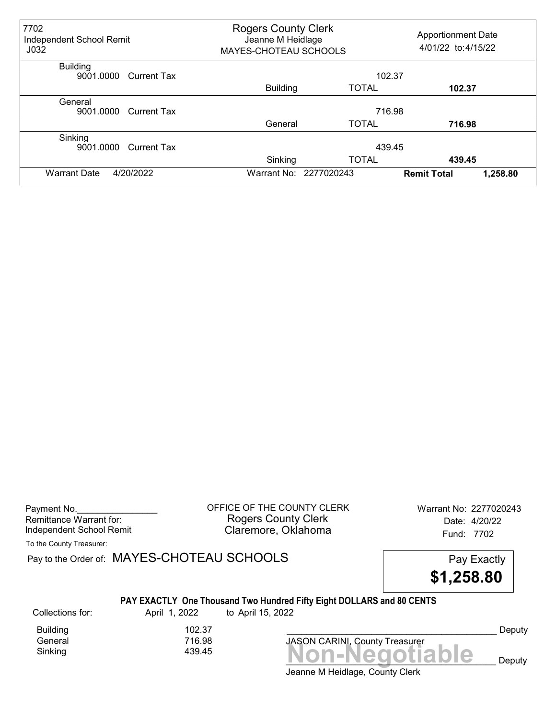| 7702<br>Independent School Remit<br>J <sub>032</sub> |                    | <b>Rogers County Clerk</b><br>Jeanne M Heidlage<br>MAYES-CHOTEAU SCHOOLS |                        | <b>Apportionment Date</b><br>4/01/22 to: 4/15/22 |
|------------------------------------------------------|--------------------|--------------------------------------------------------------------------|------------------------|--------------------------------------------------|
| <b>Building</b><br>9001.0000                         | Current Tax        |                                                                          |                        | 102.37                                           |
|                                                      |                    | <b>Building</b>                                                          | <b>TOTAL</b>           | 102.37                                           |
| General<br>9001.0000                                 | <b>Current Tax</b> |                                                                          |                        | 716.98                                           |
|                                                      |                    | General                                                                  | <b>TOTAL</b>           | 716.98                                           |
| Sinking<br>9001.0000                                 | <b>Current Tax</b> |                                                                          |                        | 439.45                                           |
|                                                      |                    | Sinking                                                                  | <b>TOTAL</b>           | 439.45                                           |
| 4/20/2022<br><b>Warrant Date</b>                     |                    |                                                                          | Warrant No: 2277020243 | 1,258.80<br><b>Remit Total</b>                   |

Payment No. 2277020243 Rogers County Clerk Date: 4/20/22 Independent School Remit Claremore, Oklahoma Fund: 7702

To the County Treasurer:

Pay to the Order of: MAYES-CHOTEAU SCHOOLS Pay Exactly

\$1,258.80

### PAY EXACTLY One Thousand Two Hundred Fifty Eight DOLLARS and 80 CENTS

Collections for: April 1, 2022 to April 15, 2022

General

Building 102.37<br>General 11 16.98

 $Sinking$ <br> $439.45$ <br> $Non-Negotiable$ JASON CARINI, County Treasurer

Deputy

Deputy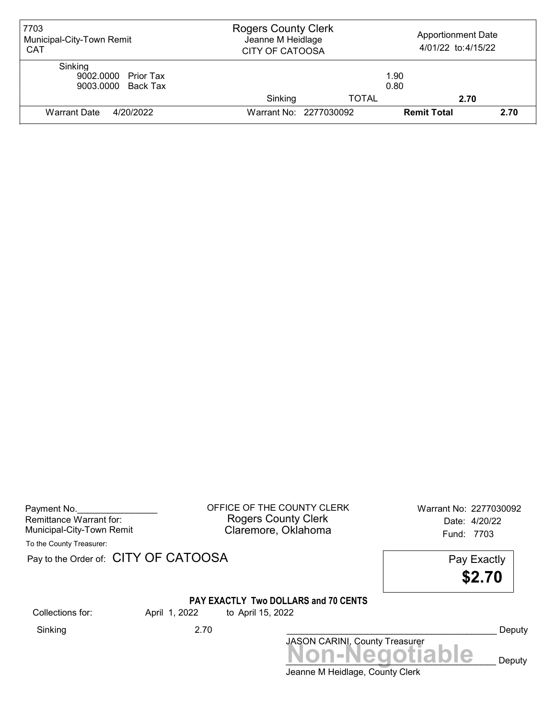| 7703<br>Municipal-City-Town Remit<br><b>CAT</b>      | <b>Rogers County Clerk</b><br>Jeanne M Heidlage<br><b>CITY OF CATOOSA</b> |              | <b>Apportionment Date</b><br>4/01/22 to: 4/15/22 |      |
|------------------------------------------------------|---------------------------------------------------------------------------|--------------|--------------------------------------------------|------|
| Sinking<br>9002.0000 Prior Tax<br>9003.0000 Back Tax |                                                                           |              | 1.90<br>0.80                                     |      |
|                                                      | Sinking                                                                   | <b>TOTAL</b> | 2.70                                             |      |
| Warrant Date<br>4/20/2022                            | Warrant No: 2277030092                                                    |              | <b>Remit Total</b>                               | 2.70 |

Payment No. 2277030092 COFFICE OF THE COUNTY CLERK Warrant No: 2277030092 Rogers County Clerk Date: 4/20/22 Municipal-City-Town Remit **Example 2018** Claremore, Oklahoma **Example 2019** Fund: 7703

To the County Treasurer:

Pay to the Order of: CITY OF CATOOSA Pay Exactly

\$2.70

## PAY EXACTLY Two DOLLARS and 70 CENTS

Collections for: April 1, 2022 to April 15, 2022

Sinking 2.70 \_\_\_\_\_\_\_\_\_\_\_\_\_\_\_\_\_\_\_\_\_\_\_\_\_\_\_\_\_\_\_\_\_\_\_\_\_\_\_\_\_\_ Deputy

Jeanne M Heidlage, County Clerk JASON CARINI, County Treasurer<br>
MON-Negotiable Deputy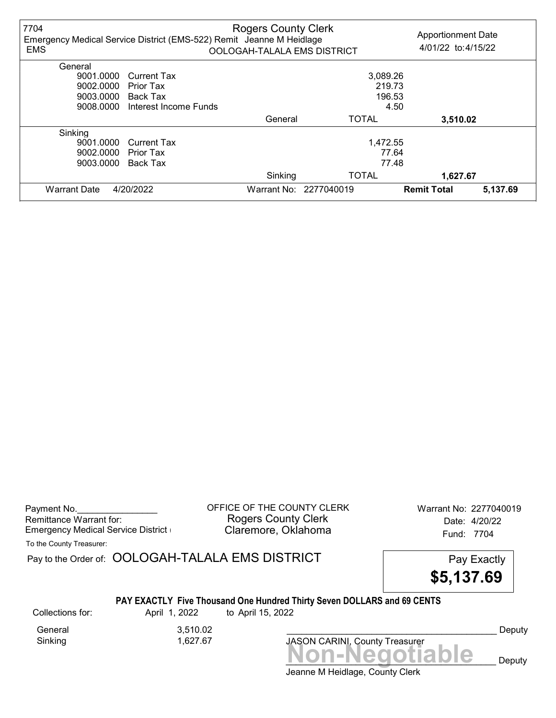| 7704<br><b>EMS</b>  | Emergency Medical Service District (EMS-522) Remit Jeanne M Heidlage | <b>Rogers County Clerk</b><br>OOLOGAH-TALALA EMS DISTRICT |                        | <b>Apportionment Date</b><br>4/01/22 to: 4/15/22 |          |
|---------------------|----------------------------------------------------------------------|-----------------------------------------------------------|------------------------|--------------------------------------------------|----------|
| General             |                                                                      |                                                           |                        |                                                  |          |
| 9001.0000           | <b>Current Tax</b>                                                   |                                                           | 3,089.26               |                                                  |          |
| 9002.0000           | Prior Tax                                                            |                                                           | 219.73                 |                                                  |          |
| 9003.0000           | Back Tax                                                             |                                                           | 196.53                 |                                                  |          |
| 9008.0000           | Interest Income Funds                                                |                                                           |                        | 4.50                                             |          |
|                     |                                                                      | General                                                   | <b>TOTAL</b>           | 3,510.02                                         |          |
| Sinking             |                                                                      |                                                           |                        |                                                  |          |
| 9001.0000           | Current Tax                                                          |                                                           | 1,472.55               |                                                  |          |
| 9002.0000           | Prior Tax                                                            |                                                           | 77.64                  |                                                  |          |
| 9003.0000           | Back Tax                                                             |                                                           | 77.48                  |                                                  |          |
|                     |                                                                      | Sinking                                                   | <b>TOTAL</b>           | 1,627.67                                         |          |
| <b>Warrant Date</b> | 4/20/2022                                                            |                                                           | Warrant No: 2277040019 | <b>Remit Total</b>                               | 5,137.69 |

Payment No. 2277040019 COFFICE OF THE COUNTY CLERK Warrant No: 2277040019 Rogers County Clerk<br>Claremore, Oklahoma<br>Claremore, Oklahoma Emergency Medical Service District **Claremore, Oklahoma** Fund: 7704

To the County Treasurer:

Pay to the Order of: OOLOGAH-TALALA EMS DISTRICT Pay Exactly



# PAY EXACTLY Five Thousand One Hundred Thirty Seven DOLLARS and 69 CENTS

General 3,510.02 Sinking 1,627.67

Collections for: April 1, 2022 to April 15, 2022

Non-Negotiable Deputy JASON CARINI, County Treasurer

Deputy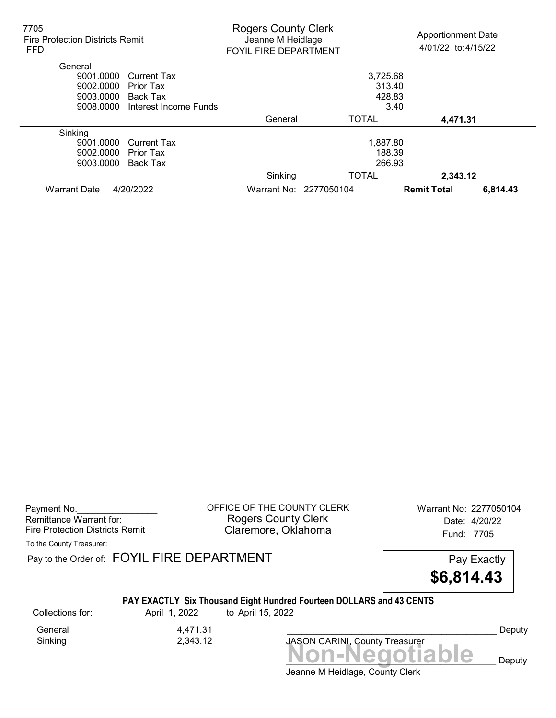| 7705<br><b>Fire Protection Districts Remit</b><br><b>FFD</b> |                       | <b>Rogers County Clerk</b><br>Jeanne M Heidlage<br><b>FOYIL FIRE DEPARTMENT</b> |                        | <b>Apportionment Date</b><br>4/01/22 to: 4/15/22 |
|--------------------------------------------------------------|-----------------------|---------------------------------------------------------------------------------|------------------------|--------------------------------------------------|
| General                                                      |                       |                                                                                 |                        |                                                  |
| 9001.0000                                                    | <b>Current Tax</b>    |                                                                                 | 3,725.68               |                                                  |
| 9002.0000                                                    | Prior Tax             |                                                                                 | 313.40                 |                                                  |
| 9003.0000                                                    | Back Tax              |                                                                                 | 428.83                 |                                                  |
| 9008.0000                                                    | Interest Income Funds |                                                                                 | 3.40                   |                                                  |
|                                                              |                       | General                                                                         | <b>TOTAL</b>           | 4,471.31                                         |
| Sinking                                                      |                       |                                                                                 |                        |                                                  |
| 9001.0000                                                    | <b>Current Tax</b>    |                                                                                 | 1,887.80               |                                                  |
| 9002.0000                                                    | Prior Tax             |                                                                                 | 188.39                 |                                                  |
| 9003.0000                                                    | Back Tax              |                                                                                 | 266.93                 |                                                  |
|                                                              |                       | Sinking                                                                         | <b>TOTAL</b>           | 2,343.12                                         |
| <b>Warrant Date</b>                                          | 4/20/2022             |                                                                                 | Warrant No: 2277050104 | 6,814.43<br><b>Remit Total</b>                   |

Payment No. 2277050104 COUNTY CLERK Warrant No: 2277050104 Rogers County Clerk Date: 4/20/22 Fire Protection Districts Remit **Claremore, Oklahoma** Fund: 7705

To the County Treasurer:

Pay to the Order of: FOYIL FIRE DEPARTMENT FREE PAY EXACTLY



# PAY EXACTLY Six Thousand Eight Hundred Fourteen DOLLARS and 43 CENTS

General 4,471.31<br>Sinking 2,343.12 Sinking 2,343.12

Collections for: April 1, 2022 to April 15, 2022

Non-Negotiable Deputy JASON CARINI, County Treasurer

Deputy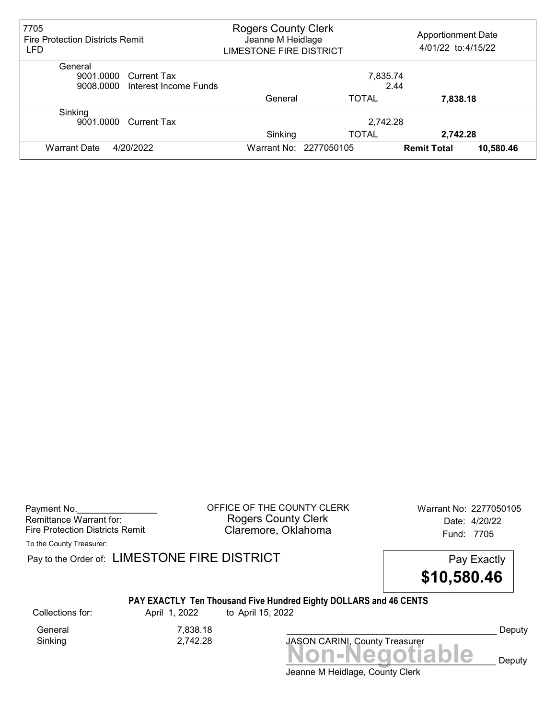| 7705<br><b>Fire Protection Districts Remit</b><br>LFD | <b>Rogers County Clerk</b><br>Jeanne M Heidlage<br><b>LIMESTONE FIRE DISTRICT</b> |                        | <b>Apportionment Date</b><br>4/01/22 to: 4/15/22 |           |
|-------------------------------------------------------|-----------------------------------------------------------------------------------|------------------------|--------------------------------------------------|-----------|
| General                                               |                                                                                   |                        |                                                  |           |
| 9001.0000<br>Current Tax                              |                                                                                   | 7,835.74               |                                                  |           |
| 9008.0000<br>Interest Income Funds                    |                                                                                   |                        | 2.44                                             |           |
|                                                       | General                                                                           | <b>TOTAL</b>           | 7,838.18                                         |           |
| Sinking                                               |                                                                                   |                        |                                                  |           |
| 9001.0000<br>Current Tax                              |                                                                                   | 2,742.28               |                                                  |           |
|                                                       | Sinking                                                                           | <b>TOTAL</b>           | 2,742.28                                         |           |
| 4/20/2022<br><b>Warrant Date</b>                      |                                                                                   | Warrant No: 2277050105 | <b>Remit Total</b>                               | 10,580.46 |

Payment No. 2277050105 Rogers County Clerk Date: 4/20/22 Fire Protection Districts Remit **Claremore, Oklahoma** Fund: 7705

To the County Treasurer:

Pay to the Order of: LIMESTONE FIRE DISTRICT Pay Exactly Pay Exactly



# PAY EXACTLY Ten Thousand Five Hundred Eighty DOLLARS and 46 CENTS

General 7,838.18 Sinking 2,742.28

Collections for: April 1, 2022 to April 15, 2022

Non-Negotiable Deputy JASON CARINI, County Treasurer

Deputy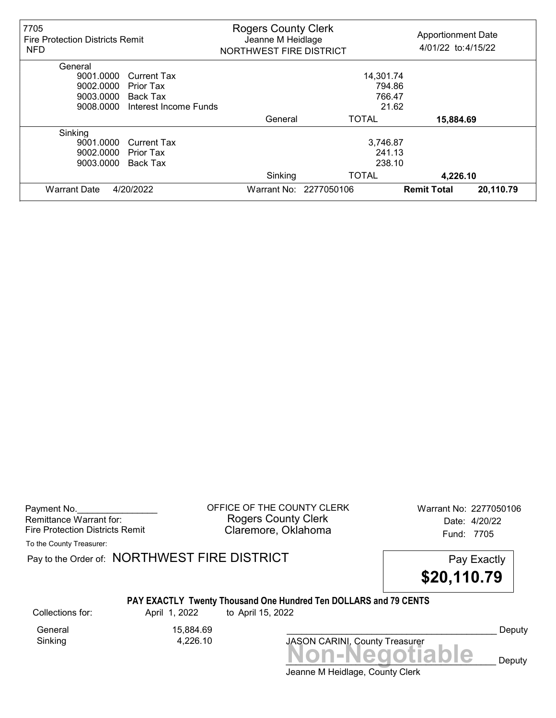| 7705<br>Fire Protection Districts Remit<br><b>NFD</b> |                       | <b>Rogers County Clerk</b><br>Jeanne M Heidlage<br>NORTHWEST FIRE DISTRICT |                        | <b>Apportionment Date</b><br>4/01/22 to: 4/15/22 |
|-------------------------------------------------------|-----------------------|----------------------------------------------------------------------------|------------------------|--------------------------------------------------|
| General                                               |                       |                                                                            |                        |                                                  |
| 9001.0000                                             | <b>Current Tax</b>    |                                                                            | 14,301.74              |                                                  |
| 9002.0000                                             | Prior Tax             |                                                                            | 794.86                 |                                                  |
| 9003.0000                                             | Back Tax              |                                                                            | 766.47                 |                                                  |
| 9008.0000                                             | Interest Income Funds |                                                                            | 21.62                  |                                                  |
|                                                       |                       | General                                                                    | <b>TOTAL</b>           | 15,884.69                                        |
| Sinking                                               |                       |                                                                            |                        |                                                  |
| 9001.0000                                             | <b>Current Tax</b>    |                                                                            | 3,746.87               |                                                  |
| 9002.0000                                             | Prior Tax             |                                                                            | 241.13                 |                                                  |
| 9003.0000                                             | <b>Back Tax</b>       |                                                                            | 238.10                 |                                                  |
|                                                       |                       | Sinking                                                                    | <b>TOTAL</b>           | 4,226.10                                         |
| <b>Warrant Date</b>                                   | 4/20/2022             |                                                                            | Warrant No: 2277050106 | 20,110.79<br><b>Remit Total</b>                  |

Payment No. 2277050106 COUNTY CLERK Warrant No: 2277050106 Rogers County Clerk Date: 4/20/22 Fire Protection Districts Remit **Claremore, Oklahoma** Fund: 7705

To the County Treasurer:

Pay to the Order of: NORTHWEST FIRE DISTRICT FIRE Pay Exactly



# PAY EXACTLY Twenty Thousand One Hundred Ten DOLLARS and 79 CENTS

Collections for: April 1, 2022 to April 15, 2022

General 15,884.69<br>Sinking 1,226.10

Sinking 4,226.10

JASON CARINI, County Treasurer

Deputy

Jeanne M Heidlage, County Clerk Non-Negotiable Deputy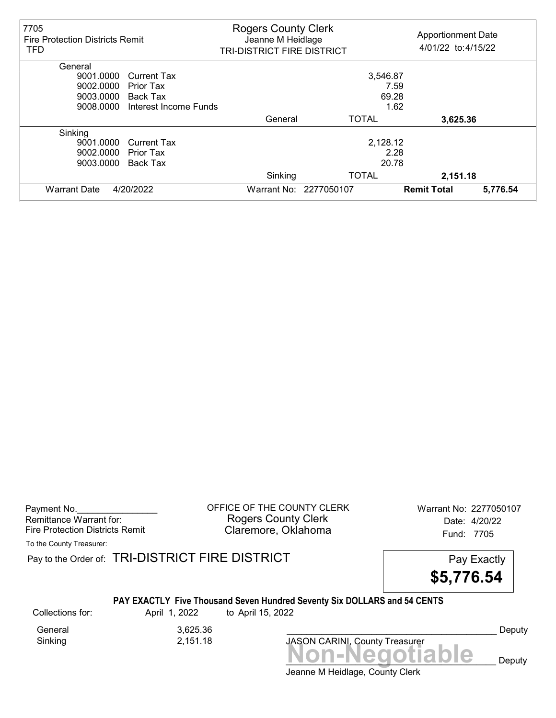| 7705<br><b>Fire Protection Districts Remit</b><br><b>TFD</b> |                       | <b>Rogers County Clerk</b><br>Jeanne M Heidlage<br>TRI-DISTRICT FIRE DISTRICT |                        | <b>Apportionment Date</b><br>4/01/22 to: 4/15/22 |
|--------------------------------------------------------------|-----------------------|-------------------------------------------------------------------------------|------------------------|--------------------------------------------------|
| General                                                      |                       |                                                                               |                        |                                                  |
| 9001.0000                                                    | <b>Current Tax</b>    |                                                                               | 3,546.87               |                                                  |
| 9002.0000                                                    | Prior Tax             |                                                                               | 7.59                   |                                                  |
| 9003.0000                                                    | <b>Back Tax</b>       |                                                                               | 69.28                  |                                                  |
| 9008.0000                                                    | Interest Income Funds |                                                                               | 1.62                   |                                                  |
|                                                              |                       | General                                                                       | <b>TOTAL</b>           | 3,625.36                                         |
| Sinking                                                      |                       |                                                                               |                        |                                                  |
| 9001.0000                                                    | <b>Current Tax</b>    |                                                                               | 2,128.12               |                                                  |
| 9002.0000                                                    | Prior Tax             |                                                                               | 2.28                   |                                                  |
| 9003.0000                                                    | Back Tax              |                                                                               | 20.78                  |                                                  |
|                                                              |                       | Sinking                                                                       | <b>TOTAL</b>           | 2,151.18                                         |
| <b>Warrant Date</b>                                          | 4/20/2022             |                                                                               | Warrant No: 2277050107 | 5,776.54<br><b>Remit Total</b>                   |

Payment No. 2277050107<br>
OFFICE OF THE COUNTY CLERK Warrant No: 2277050107 Rogers County Clerk Date: 4/20/22 Fire Protection Districts Remit **Claremore, Oklahoma** Fund: 7705

To the County Treasurer:

Pay to the Order of: TRI-DISTRICT FIRE DISTRICT **Pay Exactly** Pay Exactly

\$5,776.54

## PAY EXACTLY Five Thousand Seven Hundred Seventy Six DOLLARS and 54 CENTS

General 3,625.36<br>Sinking 2,151.18 Sinking 2,151.18

Collections for: April 1, 2022 to April 15, 2022

Non-Negotiable Deputy JASON CARINI, County Treasurer

Deputy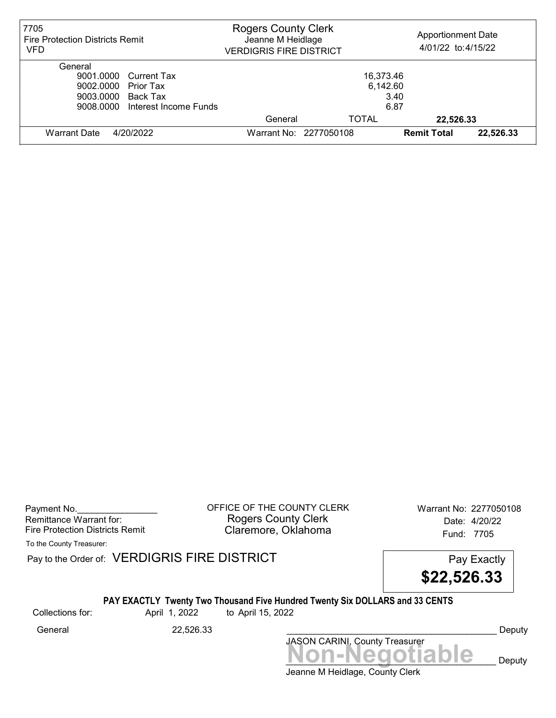| 7705<br><b>Fire Protection Districts Remit</b><br>VFD | <b>Rogers County Clerk</b><br>Jeanne M Heidlage<br><b>VERDIGRIS FIRE DISTRICT</b> |           | <b>Apportionment Date</b><br>4/01/22 to: 4/15/22 |           |
|-------------------------------------------------------|-----------------------------------------------------------------------------------|-----------|--------------------------------------------------|-----------|
| General                                               |                                                                                   |           |                                                  |           |
| 9001.0000 Current Tax                                 |                                                                                   | 16,373.46 |                                                  |           |
| 9002.0000 Prior Tax                                   |                                                                                   | 6,142.60  |                                                  |           |
| 9003.0000<br>Back Tax                                 | 3.40                                                                              |           |                                                  |           |
| 9008.0000 Interest Income Funds                       |                                                                                   | 6.87      |                                                  |           |
|                                                       | General                                                                           | TOTAL     | 22.526.33                                        |           |
| <b>Warrant Date</b><br>4/20/2022                      | Warrant No: 2277050108                                                            |           | <b>Remit Total</b>                               | 22,526.33 |

Payment No. 2277050108 CONTICE OF THE COUNTY CLERK Warrant No: 2277050108 Rogers County Clerk Date: 4/20/22 Fire Protection Districts Remit **Claremore, Oklahoma** Fund: 7705

To the County Treasurer:

Pay to the Order of: VERDIGRIS FIRE DISTRICT Pay to the Order of: VERDIGRIS FIRE DISTRICT

\$22,526.33

# PAY EXACTLY Twenty Two Thousand Five Hundred Twenty Six DOLLARS and 33 CENTS

Collections for: April 1, 2022 to April 15, 2022

Jeanne M Heidlage, County Clerk Non-Negotiable Deputy JASON CARINI, County Treasurer General 22,526.33 2000 Ceneral Deputy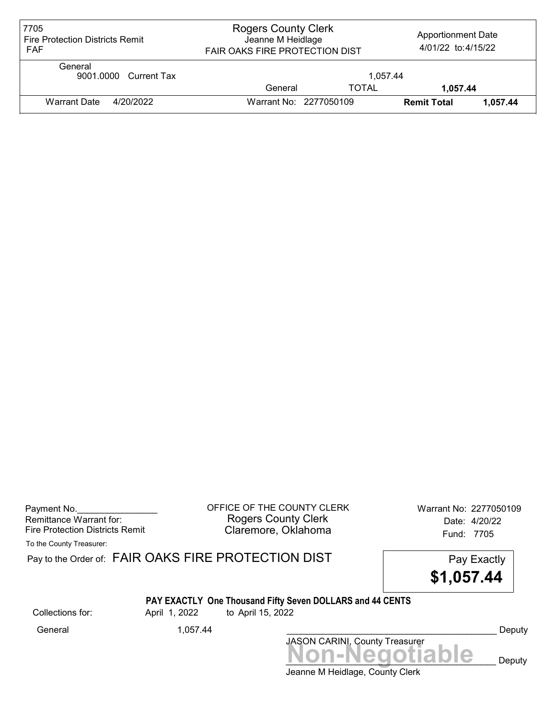| 7705<br><b>Fire Protection Districts Remit</b><br><b>FAF</b> | <b>Rogers County Clerk</b><br>Jeanne M Heidlage<br><b>FAIR OAKS FIRE PROTECTION DIST</b> |              | <b>Apportionment Date</b><br>4/01/22 to: 4/15/22 |          |
|--------------------------------------------------------------|------------------------------------------------------------------------------------------|--------------|--------------------------------------------------|----------|
| General<br>9001.0000 Current Tax                             |                                                                                          | 1.057.44     |                                                  |          |
|                                                              | General                                                                                  | <b>TOTAL</b> | 1,057.44                                         |          |
| Warrant Date<br>4/20/2022                                    | Warrant No: 2277050109                                                                   |              | <b>Remit Total</b>                               | 1.057.44 |

| Payment No.                     |
|---------------------------------|
| Remittance Warrant for:         |
| Fire Protection Districts Remit |

OFFICE OF THE COUNTY CLERK Warrant No: 2277050109 Rogers County Clerk **Date:** 2/20/22 Fire Protection Districts Remit **Exercise Claremore, Oklahoma** Fund: 7705

To the County Treasurer:

|                  |               | Pay to the Order of: $FAIR$ OAKS FIRE PROTECTION DIST<br>\$1,057.44            | Pay Exactly |
|------------------|---------------|--------------------------------------------------------------------------------|-------------|
| Collections for: | April 1, 2022 | PAY EXACTLY One Thousand Fifty Seven DOLLARS and 44 CENTS<br>to April 15, 2022 |             |
| General          | 1.057.44      |                                                                                | Deputy      |
|                  |               | JASON CARINI, County Treasurer                                                 |             |
|                  |               | <b>Non-Negotiable</b>                                                          | Deputy      |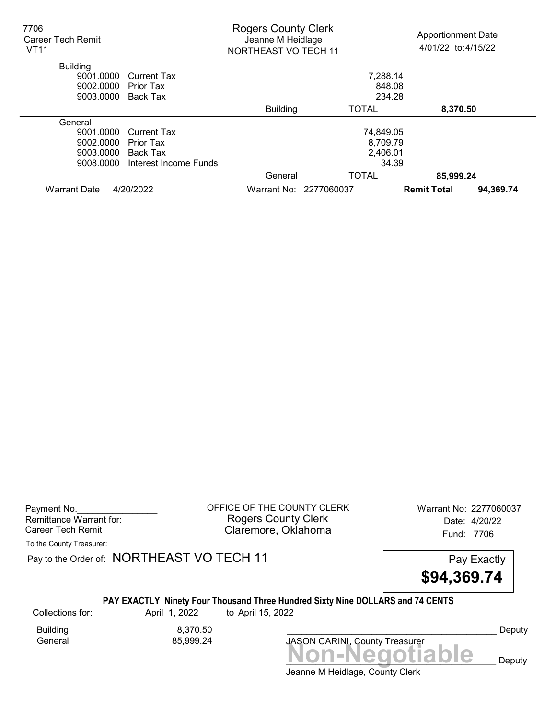| 7706<br><b>Career Tech Remit</b><br><b>VT11</b> |                       | <b>Rogers County Clerk</b><br>Jeanne M Heidlage<br>NORTHEAST VO TECH 11 |                        | <b>Apportionment Date</b><br>4/01/22 to: 4/15/22 |           |
|-------------------------------------------------|-----------------------|-------------------------------------------------------------------------|------------------------|--------------------------------------------------|-----------|
| <b>Building</b>                                 |                       |                                                                         |                        |                                                  |           |
| 9001.0000                                       | Current Tax           |                                                                         | 7,288.14               |                                                  |           |
| 9002.0000                                       | Prior Tax             |                                                                         | 848.08                 |                                                  |           |
| 9003.0000                                       | Back Tax              |                                                                         | 234.28                 |                                                  |           |
|                                                 |                       | <b>Building</b>                                                         | <b>TOTAL</b>           | 8,370.50                                         |           |
| General                                         |                       |                                                                         |                        |                                                  |           |
| 9001.0000                                       | <b>Current Tax</b>    |                                                                         | 74,849.05              |                                                  |           |
| 9002.0000                                       | Prior Tax             |                                                                         | 8,709.79               |                                                  |           |
| 9003.0000                                       | Back Tax              |                                                                         | 2,406.01               |                                                  |           |
| 9008.0000                                       | Interest Income Funds | 34.39                                                                   |                        |                                                  |           |
|                                                 |                       | General                                                                 | <b>TOTAL</b>           | 85,999.24                                        |           |
| <b>Warrant Date</b>                             | 4/20/2022             |                                                                         | Warrant No: 2277060037 | <b>Remit Total</b>                               | 94,369.74 |

Payment No. 2277060037 Rogers County Clerk Date: 4/20/22 Career Tech Remit **Claremore, Oklahoma Career Tech Remit** 7706

To the County Treasurer:

Pay to the Order of: NORTHEAST VO TECH 11 Pay Exactly



# PAY EXACTLY Ninety Four Thousand Three Hundred Sixty Nine DOLLARS and 74 CENTS

Building 8,370.50<br>1999.24 Seneral Seneral 85,999.24

Collections for: April 1, 2022 to April 15, 2022

Non-Negotiable Deputy JASON CARINI, County Treasurer

Jeanne M Heidlage, County Clerk

Deputy